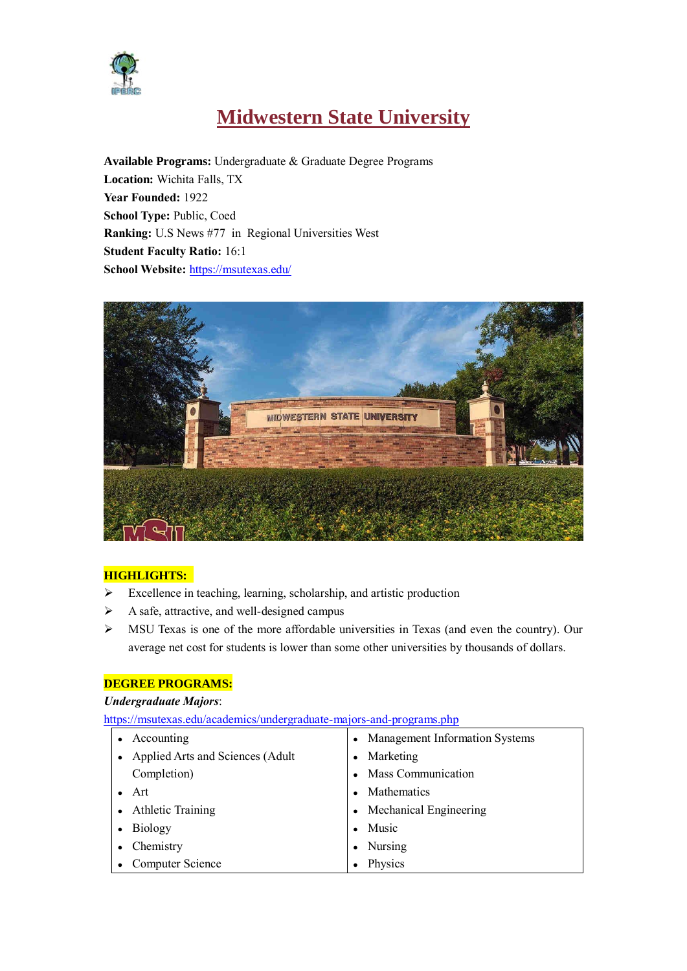

# **Midwestern State University**

**Available Programs:** Undergraduate & Graduate Degree Programs **Location:** Wichita Falls, TX **Year Founded:** 1922 **School Type:** Public, Coed **Ranking:** U.S News #77 in [Regional Universities West](https://premium.usnews.com/best-colleges/rankings/regional-universities-west) **Student Faculty Ratio:** 16:1 **School Website:** <https://msutexas.edu/>



#### **HIGHLIGHTS:**

- Excellence in teaching, learning, scholarship, and artistic production
- $\triangleright$  A safe, attractive, and well-designed campus
- MSU Texas is one of the more affordable universities in Texas (and even the country). Our average net cost for students is lower than some other universities by thousands of dollars.

#### **DEGREE PROGRAMS:**

#### *Undergraduate Majors*:

https://msutexas.edu/academics/undergraduate-majors-and-programs.php

| Accounting                       | <b>Management Information Systems</b> |
|----------------------------------|---------------------------------------|
| Applied Arts and Sciences (Adult | Marketing                             |
| Completion)                      | Mass Communication                    |
| Art                              | <b>Mathematics</b>                    |
| <b>Athletic Training</b>         | Mechanical Engineering                |
| Biology                          | Music                                 |
| Chemistry                        | Nursing                               |
| Computer Science                 | Physics                               |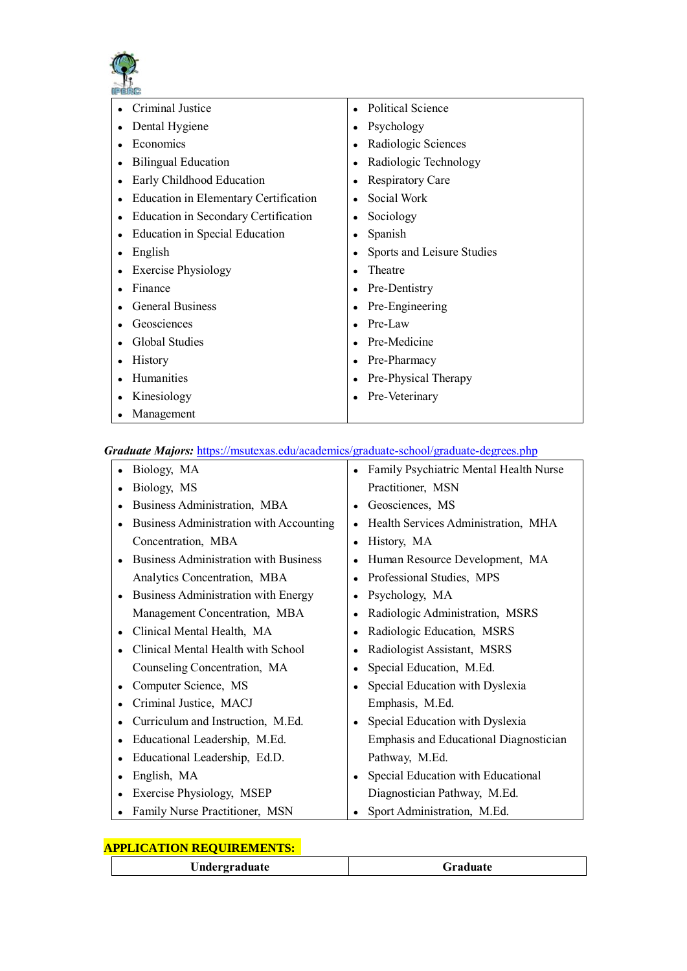

| Criminal Justice                      | <b>Political Science</b>   |
|---------------------------------------|----------------------------|
| Dental Hygiene                        | Psychology<br>٠            |
| Economics                             | Radiologic Sciences        |
| <b>Bilingual Education</b>            | Radiologic Technology      |
| Early Childhood Education             | <b>Respiratory Care</b>    |
| Education in Elementary Certification | Social Work                |
| Education in Secondary Certification  | Sociology                  |
| <b>Education in Special Education</b> | Spanish                    |
| English                               | Sports and Leisure Studies |
| <b>Exercise Physiology</b>            | Theatre                    |
| Finance                               | Pre-Dentistry              |
| <b>General Business</b>               | Pre-Engineering            |
| Geosciences                           | Pre-Law                    |
| Global Studies                        | Pre-Medicine               |
| <b>History</b>                        | Pre-Pharmacy               |
| Humanities                            | Pre-Physical Therapy       |
| Kinesiology                           | Pre-Veterinary             |
| Management                            |                            |

### *Graduate Majors:* <https://msutexas.edu/academics/graduate-school/graduate-degrees.php>

| Biology, MA                                  | Family Psychiatric Mental Health Nurse        |
|----------------------------------------------|-----------------------------------------------|
| Biology, MS                                  | Practitioner, MSN                             |
| Business Administration, MBA                 | Geosciences, MS                               |
| Business Administration with Accounting      | Health Services Administration, MHA           |
| Concentration, MBA                           | History, MA                                   |
| <b>Business Administration with Business</b> | Human Resource Development, MA                |
| Analytics Concentration, MBA                 | Professional Studies, MPS                     |
| Business Administration with Energy          | Psychology, MA                                |
| Management Concentration, MBA                | Radiologic Administration, MSRS               |
| Clinical Mental Health, MA<br>$\bullet$      | Radiologic Education, MSRS                    |
| Clinical Mental Health with School           | Radiologist Assistant, MSRS                   |
| Counseling Concentration, MA                 | Special Education, M.Ed.                      |
| Computer Science, MS                         | Special Education with Dyslexia               |
| Criminal Justice, MACJ                       | Emphasis, M.Ed.                               |
| Curriculum and Instruction, M.Ed.            | Special Education with Dyslexia               |
| Educational Leadership, M.Ed.                | <b>Emphasis and Educational Diagnostician</b> |
| Educational Leadership, Ed.D.                | Pathway, M.Ed.                                |
| English, MA<br>$\bullet$                     | Special Education with Educational            |
| Exercise Physiology, MSEP                    | Diagnostician Pathway, M.Ed.                  |
| Family Nurse Practitioner, MSN               | Sport Administration, M.Ed.                   |

# **APPLICATION REQUIREMENTS:**

| $\sim$ $\mu$ |
|--------------|
|--------------|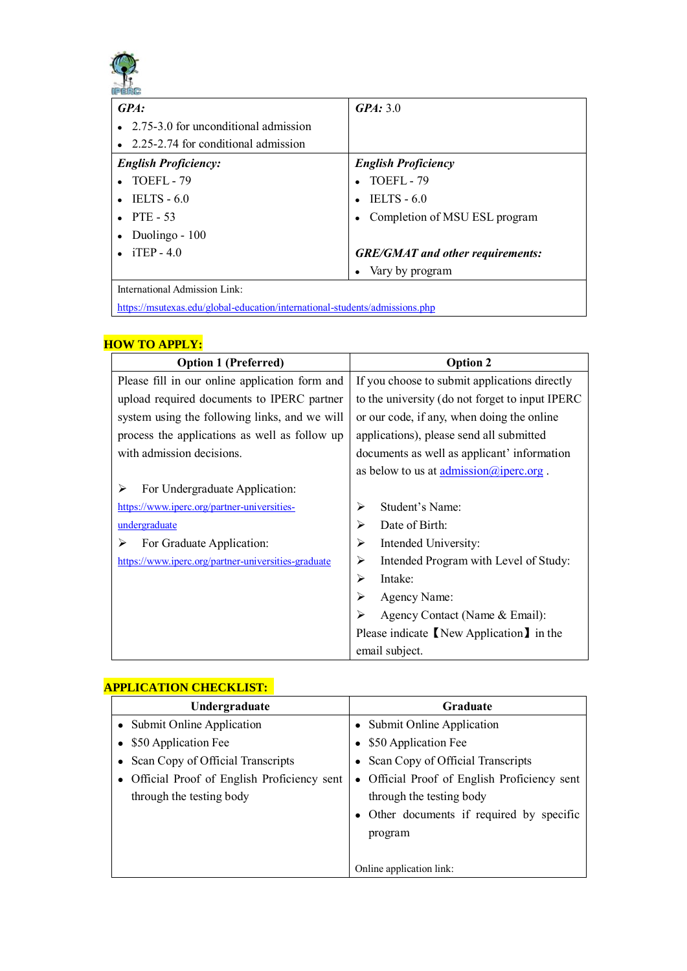

| GPA: 3.0                                |
|-----------------------------------------|
|                                         |
|                                         |
| <b>English Proficiency</b>              |
| TOEFL-79                                |
| $TELTS - 6.0$                           |
| Completion of MSU ESL program           |
|                                         |
| <b>GRE/GMAT</b> and other requirements: |
| Vary by program                         |
|                                         |

<https://msutexas.edu/global-education/international-students/admissions.php>

# **HOW TO APPLY:**

| <b>Option 1 (Preferred)</b>                         | <b>Option 2</b>                                              |
|-----------------------------------------------------|--------------------------------------------------------------|
| Please fill in our online application form and      | If you choose to submit applications directly                |
| upload required documents to IPERC partner          | to the university (do not forget to input IPERC              |
| system using the following links, and we will       | or our code, if any, when doing the online                   |
| process the applications as well as follow up       | applications), please send all submitted                     |
| with admission decisions.                           | documents as well as applicant' information                  |
|                                                     | as below to us at $\underline{\text{admission@iperc.org}}$ . |
| For Undergraduate Application:<br>⋗                 |                                                              |
| https://www.iperc.org/partner-universities-         | Student's Name:<br>≻                                         |
| undergraduate                                       | Date of Birth:<br>⋗                                          |
| For Graduate Application:<br>⋗                      | Intended University:<br>≻                                    |
| https://www.iperc.org/partner-universities-graduate | Intended Program with Level of Study:<br>≻                   |
|                                                     | Intake:<br>⋗                                                 |
|                                                     | Agency Name:<br>➤                                            |
|                                                     | Agency Contact (Name & Email):<br>⋗                          |
|                                                     | Please indicate I New Application I in the                   |
|                                                     | email subject.                                               |

### **APPLICATION CHECKLIST:**

| Undergraduate                              | Graduate                                   |
|--------------------------------------------|--------------------------------------------|
| • Submit Online Application                | Submit Online Application                  |
| \$50 Application Fee                       | \$50 Application Fee                       |
| Scan Copy of Official Transcripts          | Scan Copy of Official Transcripts          |
| Official Proof of English Proficiency sent | Official Proof of English Proficiency sent |
| through the testing body                   | through the testing body                   |
|                                            | Other documents if required by specific    |
|                                            | program                                    |
|                                            |                                            |
|                                            | Online application link:                   |